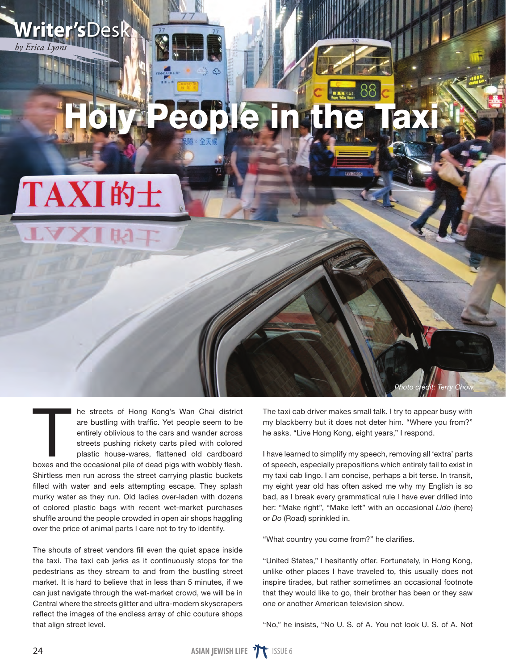

## TAXI的士

**Writer's**Desk

*by Erica Lyons*

In the streets of Hong Kong's Wan Chai district are bustling with traffic. Yet people seem to be entirely oblivious to the cars and wander across streets pushing rickety carts piled with colored plastic house-wares, flatte are bustling with traffic. Yet people seem to be entirely oblivious to the cars and wander across streets pushing rickety carts piled with colored plastic house-wares, flattened old cardboard Shirtless men run across the street carrying plastic buckets filled with water and eels attempting escape. They splash murky water as they run. Old ladies over-laden with dozens of colored plastic bags with recent wet-market purchases shuffle around the people crowded in open air shops haggling over the price of animal parts I care not to try to identify.

The shouts of street vendors fill even the quiet space inside the taxi. The taxi cab jerks as it continuously stops for the pedestrians as they stream to and from the bustling street market. It is hard to believe that in less than 5 minutes, if we can just navigate through the wet-market crowd, we will be in Central where the streets glitter and ultra-modern skyscrapers reflect the images of the endless array of chic couture shops that align street level.

The taxi cab driver makes small talk. I try to appear busy with my blackberry but it does not deter him. "Where you from?" he asks. "Live Hong Kong, eight years," I respond.

*Photo credit: Terry Chow*

I have learned to simplify my speech, removing all 'extra' parts of speech, especially prepositions which entirely fail to exist in my taxi cab lingo. I am concise, perhaps a bit terse. In transit, my eight year old has often asked me why my English is so bad, as I break every grammatical rule I have ever drilled into her: "Make right", "Make left" with an occasional *Lido* (here) or *Do* (Road) sprinkled in.

"What country you come from?" he clarifies.

"United States," I hesitantly offer. Fortunately, in Hong Kong, unlike other places I have traveled to, this usually does not inspire tirades, but rather sometimes an occasional footnote that they would like to go, their brother has been or they saw one or another American television show.

"No," he insists, "No U. S. of A. You not look U. S. of A. Not